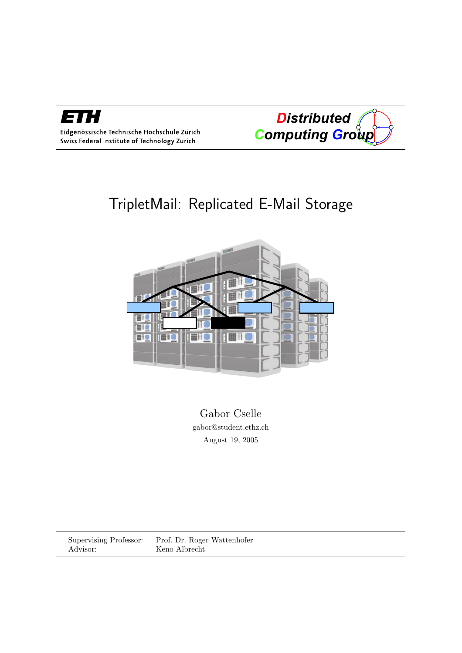

Eidgenössische Technische Hochschule Zürich Swiss Federal Institute of Technology Zurich

*Distributed Computing Group* 

# TripletMail: Replicated E-Mail Storage



Gabor Cselle gabor@student.ethz.ch August 19, 2005

Supervising Professor: Prof. Dr. Roger Wattenhofer Advisor: Keno Albrecht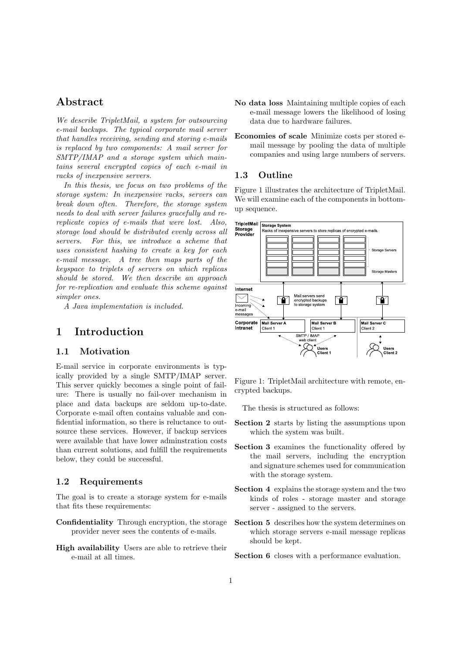# Abstract

We describe TripletMail, a system for outsourcing e-mail backups. The typical corporate mail server that handles receiving, sending and storing e-mails is replaced by two components: A mail server for SMTP/IMAP and a storage system which maintains several encrypted copies of each e-mail in racks of inexpensive servers.

In this thesis, we focus on two problems of the storage system: In inexpensive racks, servers can break down often. Therefore, the storage system needs to deal with server failures gracefully and rereplicate copies of e-mails that were lost. Also, storage load should be distributed evenly across all servers. For this, we introduce a scheme that uses consistent hashing to create a key for each e-mail message. A tree then maps parts of the keyspace to triplets of servers on which replicas should be stored. We then describe an approach for re-replication and evaluate this scheme against simpler ones.

A Java implementation is included.

## 1 Introduction

## 1.1 Motivation

E-mail service in corporate environments is typically provided by a single SMTP/IMAP server. This server quickly becomes a single point of failure: There is usually no fail-over mechanism in place and data backups are seldom up-to-date. Corporate e-mail often contains valuable and confidential information, so there is reluctance to outsource these services. However, if backup services were available that have lower adminstration costs than current solutions, and fulfill the requirements below, they could be successful.

## 1.2 Requirements

The goal is to create a storage system for e-mails that fits these requirements:

- Confidentiality Through encryption, the storage provider never sees the contents of e-mails.
- High availability Users are able to retrieve their e-mail at all times.
- No data loss Maintaining multiple copies of each e-mail message lowers the likelihood of losing data due to hardware failures.
- Economies of scale Minimize costs per stored email message by pooling the data of multiple companies and using large numbers of servers.

## 1.3 Outline

Figure 1 illustrates the architecture of TripletMail. We will examine each of the components in bottomup sequence.



Figure 1: TripletMail architecture with remote, encrypted backups.

The thesis is structured as follows:

- Section 2 starts by listing the assumptions upon which the system was built.
- Section 3 examines the functionality offered by the mail servers, including the encryption and signature schemes used for communication with the storage system.
- Section 4 explains the storage system and the two kinds of roles - storage master and storage server - assigned to the servers.
- Section 5 describes how the system determines on which storage servers e-mail message replicas should be kept.
- Section 6 closes with a performance evaluation.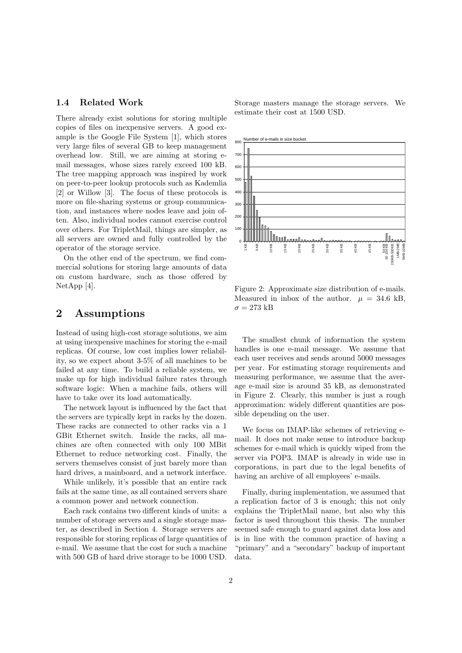#### 1.4 Related Work

There already exist solutions for storing multiple copies of files on inexpensive servers. A good example is the Google File System [1], which stores very large files of several GB to keep management overhead low. Still, we are aiming at storing email messages, whose sizes rarely exceed 100 kB. The tree mapping approach was inspired by work on peer-to-peer lookup protocols such as Kademlia [2] or Willow [3]. The focus of these protocols is more on file-sharing systems or group communication, and instances where nodes leave and join often. Also, individual nodes cannot exercise control over others. For TripletMail, things are simpler, as all servers are owned and fully controlled by the operator of the storage service.

On the other end of the spectrum, we find commercial solutions for storing large amounts of data on custom hardware, such as those offered by NetApp [4].

## 2 Assumptions

Instead of using high-cost storage solutions, we aim at using inexpensive machines for storing the e-mail replicas. Of course, low cost implies lower reliability, so we expect about 3-5% of all machines to be failed at any time. To build a reliable system, we make up for high individual failure rates through software logic: When a machine fails, others will have to take over its load automatically.

The network layout is influenced by the fact that the servers are typically kept in racks by the dozen. These racks are connected to other racks via a 1 GBit Ethernet switch. Inside the racks, all machines are often connected with only 100 MBit Ethernet to reduce networking cost. Finally, the servers themselves consist of just barely more than hard drives, a mainboard, and a network interface.

While unlikely, it's possible that an entire rack fails at the same time, as all contained servers share a common power and network connection.

Each rack contains two different kinds of units: a number of storage servers and a single storage master, as described in Section 4. Storage servers are responsible for storing replicas of large quantities of e-mail. We assume that the cost for such a machine with 500 GB of hard drive storage to be 1000 USD. Storage masters manage the storage servers. We estimate their cost at 1500 USD.



Figure 2: Approximate size distribution of e-mails. Measured in inbox of the author.  $\mu = 34.6$  kB,  $\sigma = 273$  kB

The smallest chunk of information the system handles is one e-mail message. We assume that each user receives and sends around 5000 messages per year. For estimating storage requirements and measuring performance, we assume that the average e-mail size is around 35 kB, as demonstrated in Figure 2. Clearly, this number is just a rough approximation: widely different quantities are possible depending on the user.

We focus on IMAP-like schemes of retrieving email. It does not make sense to introduce backup schemes for e-mail which is quickly wiped from the server via POP3. IMAP is already in wide use in corporations, in part due to the legal benefits of having an archive of all employees' e-mails.

Finally, during implementation, we assumed that a replication factor of 3 is enough; this not only explains the TripletMail name, but also why this factor is used throughout this thesis. The number seemed safe enough to guard against data loss and is in line with the common practice of having a "primary" and a "secondary" backup of important data.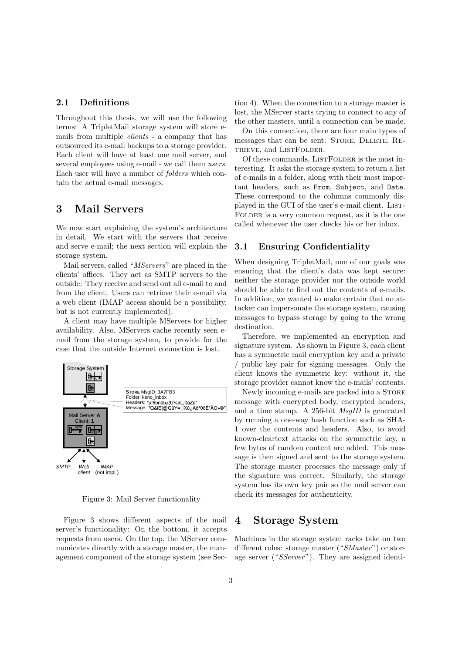### 2.1 Definitions

Throughout this thesis, we will use the following terms: A TripletMail storage system will store emails from multiple clients - a company that has outsourced its e-mail backups to a storage provider. Each client will have at least one mail server, and several employees using e-mail - we call them users. Each user will have a number of folders which contain the actual e-mail messages.

## 3 Mail Servers

We now start explaining the system's architecture in detail. We start with the servers that receive and serve e-mail; the next section will explain the storage system.

Mail servers, called "MServers" are placed in the clients' offices. They act as SMTP servers to the outside: They receive and send out all e-mail to and from the client. Users can retrieve their e-mail via a web client (IMAP access should be a possibility, but is not currently implemented).

A client may have multiple MServers for higher availability. Also, MServers cache recently seen email from the storage system, to provide for the case that the outside Internet connection is lost.



Figure 3: Mail Server functionality

Figure 3 shows different aspects of the mail server's functionality: On the bottom, it accepts requests from users. On the top, the MServer communicates directly with a storage master, the management component of the storage system (see Section 4). When the connection to a storage master is lost, the MServer starts trying to connect to any of the other masters, until a connection can be made.

On this connection, there are four main types of messages that can be sent: STORE, DELETE, RE-TRIEVE, and LISTFOLDER.

Of these commands, LISTFOLDER is the most interesting. It asks the storage system to return a list of e-mails in a folder, along with their most important headers, such as From, Subject, and Date. These correspond to the columns commonly displayed in the GUI of the user's e-mail client. LIST-FOLDER is a very common request, as it is the one called whenever the user checks his or her inbox.

#### 3.1 Ensuring Confidentiality

When designing TripletMail, one of our goals was ensuring that the client's data was kept secure: neither the storage provider nor the outside world should be able to find out the contents of e-mails. In addition, we wanted to make certain that no attacker can impersonate the storage system, causing messages to bypass storage by going to the wrong destination.

Therefore, we implemented an encryption and signature system. As shown in Figure 3, each client has a symmetric mail encryption key and a private / public key pair for signing messages. Only the client knows the symmetric key: without it, the storage provider cannot know the e-mails' contents.

Newly incoming e-mails are packed into a STORE message with encrypted body, encrypted headers, and a time stamp. A 256-bit MsgID is generated by running a one-way hash function such as SHA-1 over the contents and headers. Also, to avoid known-cleartext attacks on the symmetric key, a few bytes of random content are added. This message is then signed and sent to the storage system. The storage master processes the message only if the signature was correct. Similarly, the storage system has its own key pair so the mail server can check its messages for authenticity.

## 4 Storage System

Machines in the storage system racks take on two different roles: storage master ("SMaster") or storage server ("SServer"). They are assigned identi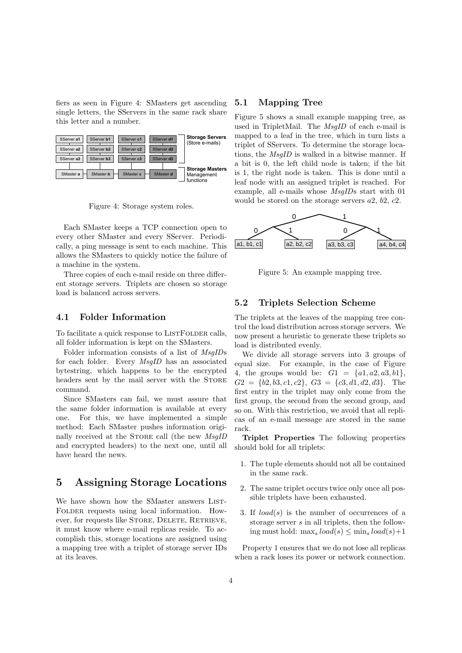fiers as seen in Figure 4: SMasters get ascending single letters, the SServers in the same rack share this letter and a number.



Figure 4: Storage system roles.

Each SMaster keeps a TCP connection open to every other SMaster and every SServer. Periodically, a ping message is sent to each machine. This allows the SMasters to quickly notice the failure of a machine in the system.

Three copies of each e-mail reside on three different storage servers. Triplets are chosen so storage load is balanced across servers.

#### 4.1 Folder Information

To facilitate a quick response to LISTFOLDER calls, all folder information is kept on the SMasters.

Folder information consists of a list of MsgIDs for each folder. Every MsgID has an associated bytestring, which happens to be the encrypted headers sent by the mail server with the STORE command.

Since SMasters can fail, we must assure that the same folder information is available at every one. For this, we have implemented a simple method: Each SMaster pushes information originally received at the STORE call (the new  $MsgID$ and encrypted headers) to the next one, until all have heard the news.

## 5 Assigning Storage Locations

We have shown how the SMaster answers LIST-FOLDER requests using local information. However, for requests like STORE, DELETE, RETRIEVE, it must know where e-mail replicas reside. To accomplish this, storage locations are assigned using a mapping tree with a triplet of storage server IDs at its leaves.

#### 5.1 Mapping Tree

Figure 5 shows a small example mapping tree, as used in TripletMail. The MsgID of each e-mail is mapped to a leaf in the tree, which in turn lists a triplet of SServers. To determine the storage locations, the MsgID is walked in a bitwise manner. If a bit is 0, the left child node is taken; if the bit is 1, the right node is taken. This is done until a leaf node with an assigned triplet is reached. For example, all e-mails whose MsgIDs start with 01 would be stored on the storage servers  $a2, b2, c2$ .



Figure 5: An example mapping tree.

## 5.2 Triplets Selection Scheme

The triplets at the leaves of the mapping tree control the load distribution across storage servers. We now present a heuristic to generate these triplets so load is distributed evenly.

We divide all storage servers into 3 groups of equal size. For example, in the case of Figure 4, the groups would be:  $G1 = \{a1, a2, a3, b1\},\$  $G2 = \{b2, b3, c1, c2\}, \ G3 = \{c3, d1, d2, d3\}.$  The first entry in the triplet may only come from the first group, the second from the second group, and so on. With this restriction, we avoid that all replicas of an e-mail message are stored in the same rack.

Triplet Properties The following properties should hold for all triplets:

- 1. The tuple elements should not all be contained in the same rack.
- 2. The same triplet occurs twice only once all possible triplets have been exhausted.
- 3. If  $load(s)$  is the number of occurrences of a storage server s in all triplets, then the following must hold: max,  $load(s) \leq \min_s load(s) + 1$

Property 1 ensures that we do not lose all replicas when a rack loses its power or network connection.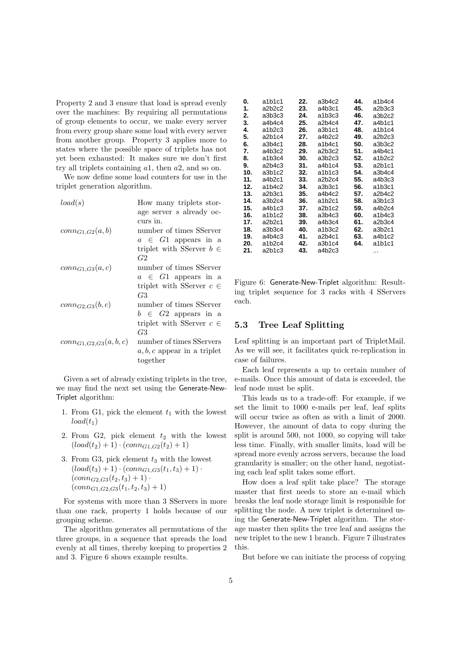Property 2 and 3 ensure that load is spread evenly over the machines: By requiring all permutations of group elements to occur, we make every server from every group share some load with every server from another group. Property 3 applies more to states where the possible space of triplets has not yet been exhausted: It makes sure we don't first try all triplets containing a1, then a2, and so on.

We now define some load counters for use in the triplet generation algorithm.

| load(s)                    | How many triplets stor-       |  |  |
|----------------------------|-------------------------------|--|--|
|                            | age server s already oc-      |  |  |
|                            | curs in.                      |  |  |
| $conn_{G1,G2}(a,b)$        | number of times SServer       |  |  |
|                            | $a \in G1$ appears in a       |  |  |
|                            | triplet with SServer $b \in$  |  |  |
|                            | G2                            |  |  |
| $conn_{G1,G3}(a,c)$        | number of times SServer       |  |  |
|                            | $a \in G1$ appears in a       |  |  |
|                            | triplet with SServer $c \in$  |  |  |
|                            | G3                            |  |  |
| $conn_{G2,G3}(b,c)$        | number of times SServer       |  |  |
|                            | $b \in G2$ appears in a       |  |  |
|                            | triplet with SServer $c \in$  |  |  |
|                            | G3                            |  |  |
| $conn_{G1,G2,G3}(a, b, c)$ | number of times SServers      |  |  |
|                            | $a, b, c$ appear in a triplet |  |  |
|                            | together                      |  |  |

Given a set of already existing triplets in the tree, we may find the next set using the Generate-New-Triplet algorithm:

- 1. From G1, pick the element  $t_1$  with the lowest  $load(t_1)$
- 2. From G2, pick element  $t_2$  with the lowest  $(log (load(t<sub>2</sub>) + 1) \cdot (conn_{G1,G2}(t<sub>2</sub>) + 1)$
- 3. From G3, pick element  $t_3$  with the lowest  $(load(t_3) + 1) \cdot (conn_{G1,G3}(t_1, t_3) + 1) \cdot$  $(conn_{G2,G3}(t_2,t_3) + 1)$ .  $(conn_{G1,G2,G3}(t_1,t_2,t_3) + 1)$

For systems with more than 3 SServers in more than one rack, property 1 holds because of our grouping scheme.

The algorithm generates all permutations of the three groups, in a sequence that spreads the load evenly at all times, thereby keeping to properties 2 and 3. Figure 6 shows example results.

| 0.  | a1b1c1 | 22. | a3b4c2 | 44. | a1b4c4                          |
|-----|--------|-----|--------|-----|---------------------------------|
| 1.  | a2b2c2 | 23. | a4b3c1 | 45. | a2b3c3                          |
| 2.  | a3b3c3 | 24. | a1b3c3 | 46. | a3b2c2                          |
| 3.  | a4b4c4 | 25. | a2b4c4 | 47. | a4b1c1                          |
| 4.  | a1b2c3 | 26. | a3b1c1 | 48. | a1b1c4                          |
| 5.  | a2b1c4 | 27. | a4b2c2 | 49. | a2b2c3                          |
| 6.  | a3b4c1 | 28. | a1b4c1 | 50. | a3b3c2                          |
| 7.  | a4b3c2 | 29. | a2b3c2 | 51. | a4b4c1                          |
| 8.  | a1b3c4 | 30. | a3b2c3 | 52. | a1b2c2                          |
| 9.  | a2b4c3 | 31. | a4b1c4 | 53. | a <sub>2</sub> b <sub>1c1</sub> |
| 10. | a3b1c2 | 32. | a1b1c3 | 54. | a3b4c4                          |
| 11. | a4b2c1 | 33. | a2b2c4 | 55. | a4b3c3                          |
| 12. | a1b4c2 | 34. | a3b3c1 | 56. | a1b3c1                          |
| 13. | a2b3c1 | 35. | a4b4c2 | 57. | a2b4c2                          |
| 14. | a3b2c4 | 36. | a1b2c1 | 58. | a3b1c3                          |
| 15. | a4b1c3 | 37. | a2b1c2 | 59. | a4b2c4                          |
| 16. | a1b1c2 | 38. | a3b4c3 | 60. | a1b4c3                          |
| 17. | a2b2c1 | 39. | a4b3c4 | 61. | a2b3c4                          |
| 18. | a3b3c4 | 40. | a1b3c2 | 62. | a3b2c1                          |
| 19. | a4b4c3 | 41. | a2b4c1 | 63. | a4b1c2                          |
| 20. | a1b2c4 | 42. | a3b1c4 | 64. | a1b1c1                          |
| 21. | a2b1c3 | 43. | a4b2c3 |     |                                 |
|     |        |     |        |     |                                 |

Figure 6: Generate-New-Triplet algorithm: Resulting triplet sequence for 3 racks with 4 SServers each.

#### 5.3 Tree Leaf Splitting

Leaf splitting is an important part of TripletMail. As we will see, it facilitates quick re-replication in case of failures.

Each leaf represents a up to certain number of e-mails. Once this amount of data is exceeded, the leaf node must be split.

This leads us to a trade-off: For example, if we set the limit to 1000 e-mails per leaf, leaf splits will occur twice as often as with a limit of 2000. However, the amount of data to copy during the split is around 500, not 1000, so copying will take less time. Finally, with smaller limits, load will be spread more evenly across servers, because the load granularity is smaller; on the other hand, negotiating each leaf split takes some effort.

How does a leaf split take place? The storage master that first needs to store an e-mail which breaks the leaf node storage limit is responsible for splitting the node. A new triplet is determined using the Generate-New-Triplet algorithm. The storage master then splits the tree leaf and assigns the new triplet to the new 1 branch. Figure 7 illustrates this.

But before we can initiate the process of copying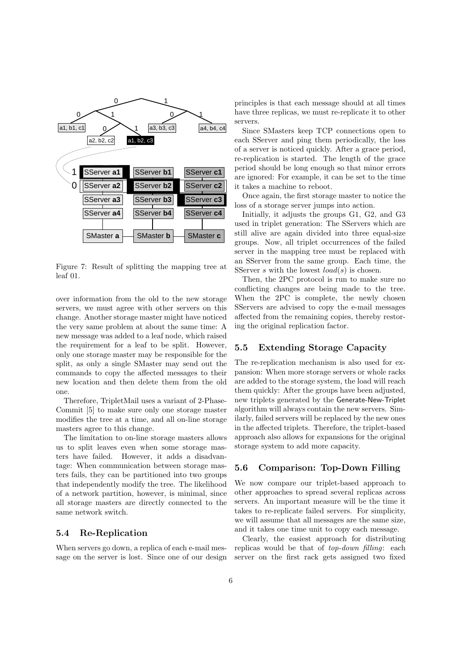

Figure 7: Result of splitting the mapping tree at leaf 01.

over information from the old to the new storage servers, we must agree with other servers on this change. Another storage master might have noticed the very same problem at about the same time: A new message was added to a leaf node, which raised the requirement for a leaf to be split. However, only one storage master may be responsible for the split, as only a single SMaster may send out the commands to copy the affected messages to their new location and then delete them from the old one.

Therefore, TripletMail uses a variant of 2-Phase-Commit [5] to make sure only one storage master modifies the tree at a time, and all on-line storage masters agree to this change.

The limitation to on-line storage masters allows us to split leaves even when some storage masters have failed. However, it adds a disadvantage: When communication between storage masters fails, they can be partitioned into two groups that independently modify the tree. The likelihood of a network partition, however, is minimal, since all storage masters are directly connected to the same network switch.

#### 5.4 Re-Replication

When servers go down, a replica of each e-mail message on the server is lost. Since one of our design principles is that each message should at all times have three replicas, we must re-replicate it to other servers.

Since SMasters keep TCP connections open to each SServer and ping them periodically, the loss of a server is noticed quickly. After a grace period, re-replication is started. The length of the grace period should be long enough so that minor errors are ignored: For example, it can be set to the time it takes a machine to reboot.

Once again, the first storage master to notice the loss of a storage server jumps into action.

Initially, it adjusts the groups G1, G2, and G3 used in triplet generation: The SServers which are still alive are again divided into three equal-size groups. Now, all triplet occurrences of the failed server in the mapping tree must be replaced with an SServer from the same group. Each time, the SServer s with the lowest  $load(s)$  is chosen.

Then, the 2PC protocol is run to make sure no conflicting changes are being made to the tree. When the 2PC is complete, the newly chosen SServers are advised to copy the e-mail messages affected from the remaining copies, thereby restoring the original replication factor.

## 5.5 Extending Storage Capacity

The re-replication mechanism is also used for expansion: When more storage servers or whole racks are added to the storage system, the load will reach them quickly: After the groups have been adjusted, new triplets generated by the Generate-New-Triplet algorithm will always contain the new servers. Similarly, failed servers will be replaced by the new ones in the affected triplets. Therefore, the triplet-based approach also allows for expansions for the original storage system to add more capacity.

## 5.6 Comparison: Top-Down Filling

We now compare our triplet-based approach to other approaches to spread several replicas across servers. An important measure will be the time it takes to re-replicate failed servers. For simplicity, we will assume that all messages are the same size, and it takes one time unit to copy each message.

Clearly, the easiest approach for distributing replicas would be that of top-down filling: each server on the first rack gets assigned two fixed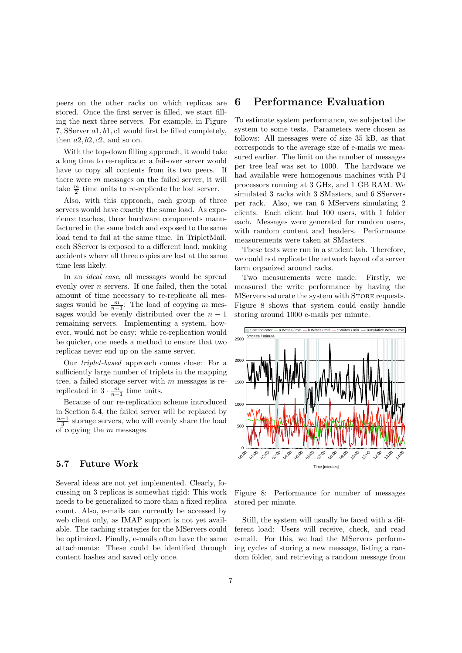peers on the other racks on which replicas are stored. Once the first server is filled, we start filling the next three servers. For example, in Figure 7, SServer a1, b1, c1 would first be filled completely, then  $a2, b2, c2$ , and so on.

With the top-down filling approach, it would take a long time to re-replicate: a fail-over server would have to copy all contents from its two peers. If there were  $m$  messages on the failed server, it will take  $\frac{m}{2}$  time units to re-replicate the lost server.

Also, with this approach, each group of three servers would have exactly the same load. As experience teaches, three hardware components manufactured in the same batch and exposed to the same load tend to fail at the same time. In TripletMail, each SServer is exposed to a different load, making accidents where all three copies are lost at the same time less likely.

In an ideal case, all messages would be spread evenly over n servers. If one failed, then the total amount of time necessary to re-replicate all messages would be  $\frac{m}{n-1}$ : The load of copying m messages would be evenly distributed over the  $n-1$ remaining servers. Implementing a system, however, would not be easy: while re-replication would be quicker, one needs a method to ensure that two replicas never end up on the same server.

Our triplet-based approach comes close: For a sufficiently large number of triplets in the mapping tree, a failed storage server with  $m$  messages is rereplicated in  $3 \cdot \frac{m}{n-1}$  time units.

Because of our re-replication scheme introduced in Section 5.4, the failed server will be replaced by  $\frac{n-1}{3}$  storage servers, who will evenly share the load of copying the  $m$  messages.

## 5.7 Future Work

Several ideas are not yet implemented. Clearly, focussing on 3 replicas is somewhat rigid: This work needs to be generalized to more than a fixed replica count. Also, e-mails can currently be accessed by web client only, as IMAP support is not yet available. The caching strategies for the MServers could be optimized. Finally, e-mails often have the same attachments: These could be identified through content hashes and saved only once.

## 6 Performance Evaluation

To estimate system performance, we subjected the system to some tests. Parameters were chosen as follows: All messages were of size 35 kB, as that corresponds to the average size of e-mails we measured earlier. The limit on the number of messages per tree leaf was set to 1000. The hardware we had available were homogenous machines with P4 processors running at 3 GHz, and 1 GB RAM. We simulated 3 racks with 3 SMasters, and 6 SServers per rack. Also, we ran 6 MServers simulating 2 clients. Each client had 100 users, with 1 folder each. Messages were generated for random users, with random content and headers. Performance measurements were taken at SMasters.

These tests were run in a student lab. Therefore, we could not replicate the network layout of a server farm organized around racks.

Two measurements were made: Firstly, we measured the write performance by having the MServers saturate the system with STORE requests. Figure 8 shows that system could easily handle storing around 1000 e-mails per minute.



Figure 8: Performance for number of messages stored per minute.

Still, the system will usually be faced with a different load: Users will receive, check, and read e-mail. For this, we had the MServers performing cycles of storing a new message, listing a random folder, and retrieving a random message from